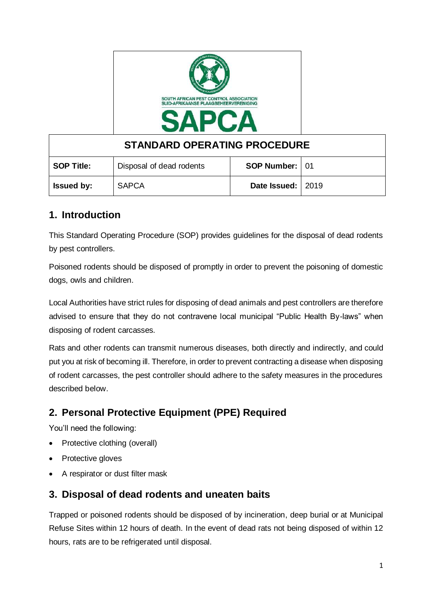

| <b>STANDARD OPERATING PROCEDURE</b> |                          |                     |  |
|-------------------------------------|--------------------------|---------------------|--|
| <b>SOP Title:</b>                   | Disposal of dead rodents | SOP Number: 01      |  |
| <b>Issued by:</b>                   | <b>SAPCA</b>             | Date Issued:   2019 |  |

## **1. Introduction**

This Standard Operating Procedure (SOP) provides guidelines for the disposal of dead rodents by pest controllers.

Poisoned rodents should be disposed of promptly in order to prevent the poisoning of domestic dogs, owls and children.

Local Authorities have strict rules for disposing of dead animals and pest controllers are therefore advised to ensure that they do not contravene local municipal "Public Health By-laws" when disposing of rodent carcasses.

Rats and other rodents can transmit numerous diseases, both directly and indirectly, and could put you at risk of becoming ill. Therefore, in order to prevent contracting a disease when disposing of rodent carcasses, the pest controller should adhere to the safety measures in the procedures described below.

# **2. Personal Protective Equipment (PPE) Required**

You'll need the following:

- Protective clothing (overall)
- Protective gloves
- A respirator or dust filter mask

## **3. Disposal of dead rodents and uneaten baits**

Trapped or poisoned rodents should be disposed of by incineration, deep burial or at Municipal Refuse Sites within 12 hours of death. In the event of dead rats not being disposed of within 12 hours, rats are to be refrigerated until disposal.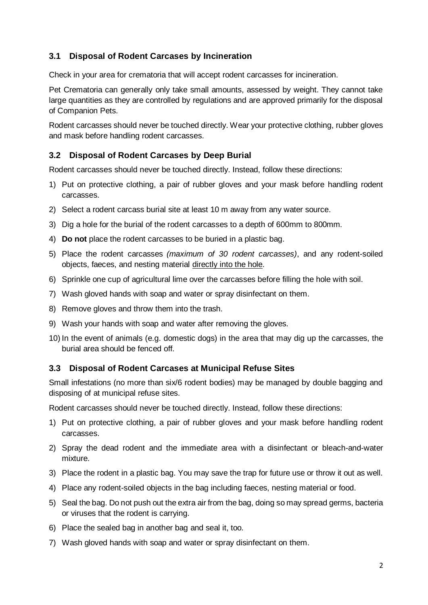### **3.1 Disposal of Rodent Carcases by Incineration**

Check in your area for crematoria that will accept rodent carcasses for incineration.

Pet Crematoria can generally only take small amounts, assessed by weight. They cannot take large quantities as they are controlled by regulations and are approved primarily for the disposal of Companion Pets.

Rodent carcasses should never be touched directly. Wear your protective clothing, rubber gloves and mask before handling rodent carcasses.

### **3.2 Disposal of Rodent Carcases by Deep Burial**

Rodent carcasses should never be touched directly. Instead, follow these directions:

- 1) Put on protective clothing, a pair of rubber gloves and your mask before handling rodent carcasses.
- 2) Select a rodent carcass burial site at least 10 m away from any water source.
- 3) Dig a hole for the burial of the rodent carcasses to a depth of 600mm to 800mm.
- 4) **Do not** place the rodent carcasses to be buried in a plastic bag.
- 5) Place the rodent carcasses *(maximum of 30 rodent carcasses)*, and any rodent-soiled objects, faeces, and nesting material directly into the hole.
- 6) Sprinkle one cup of agricultural lime over the carcasses before filling the hole with soil.
- 7) Wash gloved hands with soap and water or spray disinfectant on them.
- 8) Remove gloves and throw them into the trash.
- 9) Wash your hands with soap and water after removing the gloves.
- 10) In the event of animals (e.g. domestic dogs) in the area that may dig up the carcasses, the burial area should be fenced off.

#### **3.3 Disposal of Rodent Carcases at Municipal Refuse Sites**

Small infestations (no more than six/6 rodent bodies) may be managed by double bagging and disposing of at municipal refuse sites.

Rodent carcasses should never be touched directly. Instead, follow these directions:

- 1) Put on protective clothing, a pair of rubber gloves and your mask before handling rodent carcasses.
- 2) Spray the dead rodent and the immediate area with a disinfectant or bleach-and-water mixture.
- 3) Place the rodent in a plastic bag. You may save the trap for future use or throw it out as well.
- 4) Place any rodent-soiled objects in the bag including faeces, nesting material or food.
- 5) Seal the bag. Do not push out the extra air from the bag, doing so may spread germs, bacteria or viruses that the rodent is carrying.
- 6) Place the sealed bag in another bag and seal it, too.
- 7) Wash gloved hands with soap and water or spray disinfectant on them.